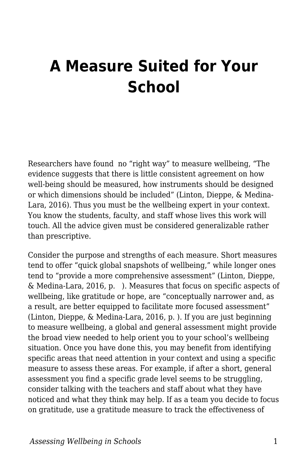## **A Measure Suited for Your School**

Researchers have found no "right way" to measure wellbeing, "The evidence suggests that there is little consistent agreement on how well-being should be measured, how instruments should be designed or which dimensions should be included" (Linton, Dieppe, & Medina-Lara, 2016). Thus you must be the wellbeing expert in your context. You know the students, faculty, and staff whose lives this work will touch. All the advice given must be considered generalizable rather than prescriptive.

Consider the purpose and strengths of each measure. Short measures tend to offer "quick global snapshots of wellbeing," while longer ones tend to "provide a more comprehensive assessment" (Linton, Dieppe, & Medina-Lara, 2016, p. ). Measures that focus on specific aspects of wellbeing, like gratitude or hope, are "conceptually narrower and, as a result, are better equipped to facilitate more focused assessment" (Linton, Dieppe, & Medina-Lara, 2016, p. ). If you are just beginning to measure wellbeing, a global and general assessment might provide the broad view needed to help orient you to your school's wellbeing situation. Once you have done this, you may benefit from identifying specific areas that need attention in your context and using a specific measure to assess these areas. For example, if after a short, general assessment you find a specific grade level seems to be struggling, consider talking with the teachers and staff about what they have noticed and what they think may help. If as a team you decide to focus on gratitude, use a gratitude measure to track the effectiveness of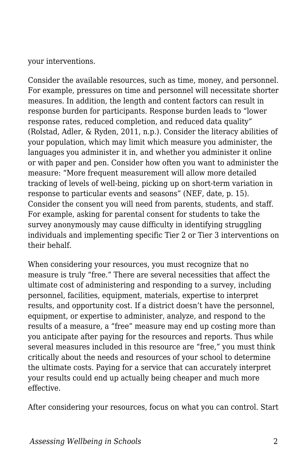your interventions.

Consider the available resources, such as time, money, and personnel. For example, pressures on time and personnel will necessitate shorter measures. In addition, the length and content factors can result in response burden for participants. Response burden leads to "lower response rates, reduced completion, and reduced data quality" (Rolstad, Adler, & Ryden, 2011, n.p.). Consider the literacy abilities of your population, which may limit which measure you administer, the languages you administer it in, and whether you administer it online or with paper and pen. Consider how often you want to administer the measure: "More frequent measurement will allow more detailed tracking of levels of well-being, picking up on short-term variation in response to particular events and seasons" (NEF, date, p. 15). Consider the consent you will need from parents, students, and staff. For example, asking for parental consent for students to take the survey anonymously may cause difficulty in identifying struggling individuals and implementing specific Tier 2 or Tier 3 interventions on their behalf.

When considering your resources, you must recognize that no measure is truly "free." There are several necessities that affect the ultimate cost of administering and responding to a survey, including personnel, facilities, equipment, materials, expertise to interpret results, and opportunity cost. If a district doesn't have the personnel, equipment, or expertise to administer, analyze, and respond to the results of a measure, a "free" measure may end up costing more than you anticipate after paying for the resources and reports. Thus while several measures included in this resource are "free," you must think critically about the needs and resources of your school to determine the ultimate costs. Paying for a service that can accurately interpret your results could end up actually being cheaper and much more effective.

After considering your resources, focus on what you can control. Start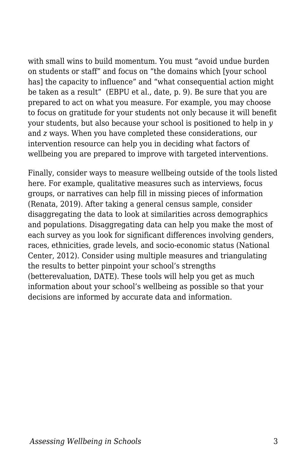with small wins to build momentum. You must "avoid undue burden on students or staff" and focus on "the domains which [your school has] the capacity to influence" and "what consequential action might be taken as a result" (EBPU et al., date, p. 9). Be sure that you are prepared to act on what you measure. For example, you may choose to focus on gratitude for your students not only because it will benefit your students, but also because your school is positioned to help in *y* and *z* ways. When you have completed these considerations, our intervention resource can help you in deciding what factors of wellbeing you are prepared to improve with targeted interventions.

Finally, consider ways to measure wellbeing outside of the tools listed here. For example, qualitative measures such as interviews, focus groups, or narratives can help fill in missing pieces of information (Renata, 2019). After taking a general census sample, consider disaggregating the data to look at similarities across demographics and populations. Disaggregating data can help you make the most of each survey as you look for significant differences involving genders, races, ethnicities, grade levels, and socio-economic status (National Center, 2012). Consider using multiple measures and triangulating the results to better pinpoint your school's strengths (betterevaluation, DATE). These tools will help you get as much information about your school's wellbeing as possible so that your decisions are informed by accurate data and information.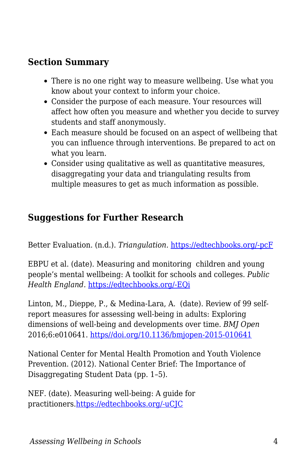## **Section Summary**

- There is no one right way to measure wellbeing. Use what you know about your context to inform your choice.
- Consider the purpose of each measure. Your resources will affect how often you measure and whether you decide to survey students and staff anonymously.
- Each measure should be focused on an aspect of wellbeing that you can influence through interventions. Be prepared to act on what you learn.
- Consider using qualitative as well as quantitative measures, disaggregating your data and triangulating results from multiple measures to get as much information as possible.

## **Suggestions for Further Research**

Better Evaluation. (n.d.). *Triangulation.* [https://edtechbooks.org/-pcF](https://www.betterevaluation.org/en/evaluation-options/triangulation)

EBPU et al. (date). Measuring and monitoring children and young people's mental wellbeing: A toolkit for schools and colleges. *Public Health England.* [https://edtechbooks.org/-EQi](https://www.basw.co.uk/resources/measuring-and-monitoring-children-and-young-people%E2%80%99s-mental-wellbeing-toolkit-schools-and)

Linton, M., Dieppe, P., & Medina-Lara, A. (date). Review of 99 selfreport measures for assessing well-being in adults: Exploring dimensions of well-being and developments over time. *BMJ Open* 2016;6:e010641. [https//doi.org/10.1136/bmjopen-2015-010641](https://edtechbooks.org/wellbeing/about:blank)

National Center for Mental Health Promotion and Youth Violence Prevention. (2012). National Center Brief: The Importance of Disaggregating Student Data (pp. 1–5).

NEF. (date). Measuring well-being: A guide for practitioners.[https://edtechbooks.org/-uCJC](https://mentalhealthpartnerships.com/resource/measuring-well-being-a-guide-for-practitioners/)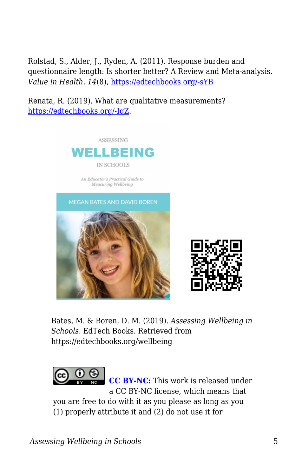Rolstad, S., Alder, J., Ryden, A. (2011). Response burden and questionnaire length: Is shorter better? A Review and Meta-analysis. *Value in Health. 14*(8), [https://edtechbooks.org/-sYB](https://doi.org/10.1016/j.jval.2011.06.003)

Renata, R. (2019). What are qualitative measurements? [https://edtechbooks.org/-IqZ.](https://www.theclassroom.com/qualitative-measurements-8473589.html)



Bates, M. & Boren, D. M. (2019). *Assessing Wellbeing in Schools*. EdTech Books. Retrieved from https://edtechbooks.org/wellbeing



**[CC BY-NC:](https://creativecommons.org/licenses/by-nc/4.0)** This work is released under a CC BY-NC license, which means that

you are free to do with it as you please as long as you (1) properly attribute it and (2) do not use it for